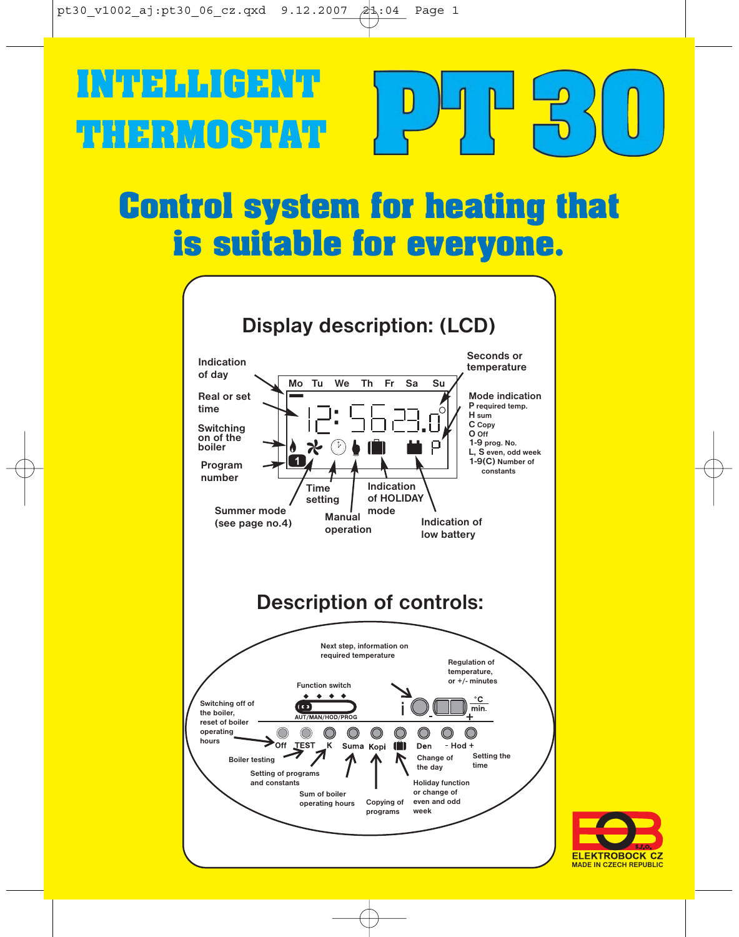## NDEAL (AENT **INTELLIGENT**



# **Control system for heating that**



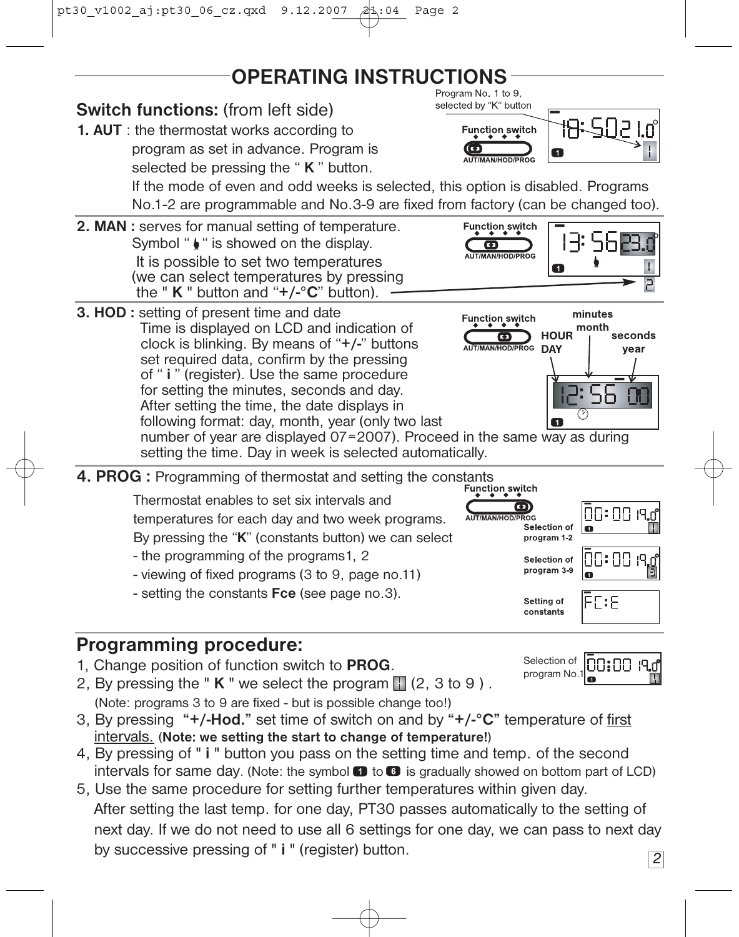## **OPERATING INSTRUCTIONS**



### **Programming procedure:**

- 1, Change position of function switch to **PROG**.
- 2, By pressing the " $K$ " we select the program  $\left| \right|$  (2, 3 to 9). (Note: programs 3 to 9 are fixed - but is possible change too!)
- 3, By pressing **"+/-Hod."** set time of switch on and by **"+/-°C"** temperature of first intervals. (**Note: we setting the start to change of temperature!**)
- 4, By pressing of " **i** " button you pass on the setting time and temp. of the second intervals for same day. (Note: the symbol  $\Box$  to  $\Box$  is gradually showed on bottom part of LCD)
- 5, Use the same procedure for setting further temperatures within given day. After setting the last temp. for one day, PT30 passes automatically to the setting of next day. If we do not need to use all 6 settings for one day, we can pass to next day by successive pressing of " **i** " (register) button.
- Selection of n:nn program No.1

*2*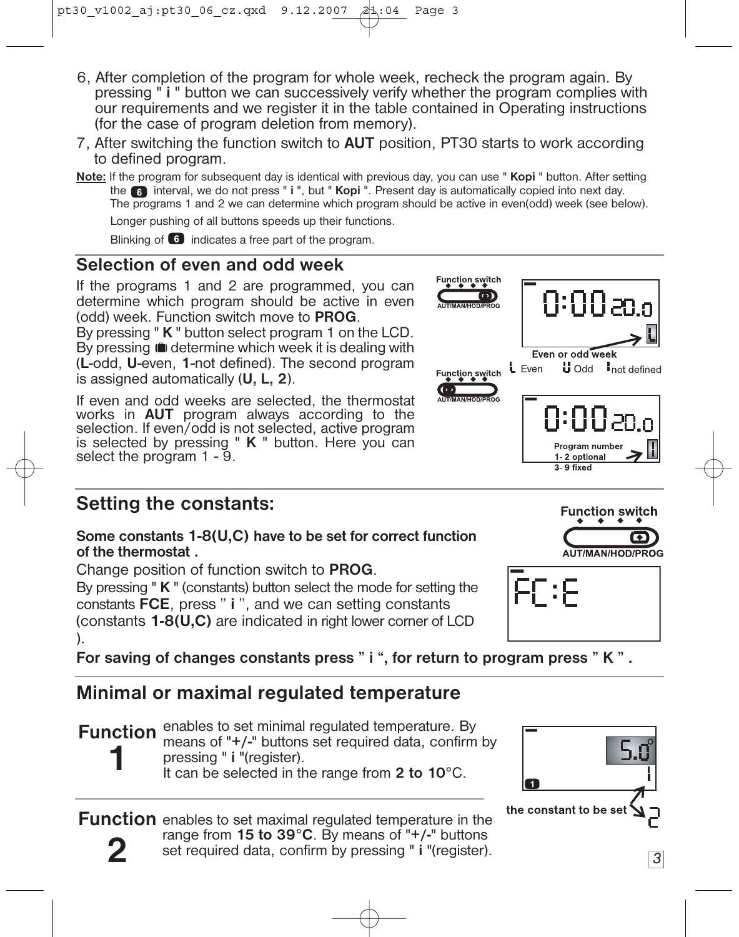- 6, After completion of the program for whole week, recheck the program again. By pressing " **i** " button we can successively verify whether the program complies with our requirements and we register it in the table contained in Operating instructions (for the case of program deletion from memory).
- 7, After switching the function switch to **AUT** position, PT30 starts to work according to defined program.
- **Note:** If the program for subsequent day is identical with previous day, you can use " **Kopi** " button. After setting the interval, we do not press " **i** ", but " **Kopi** ". Present day is automatically copied into next day. The programs 1 and 2 we can determine which program should be active in even(odd) week (see below).

Longer pushing of all buttons speeds up their functions.

Blinking of  $\begin{bmatrix} 6 \end{bmatrix}$  indicates a free part of the program.

#### **Selection of even and odd week**

If the programs 1 and 2 are programmed, you can determine which program should be active in even (odd) week. Function switch move to **PROG**.

By pressing " **K** " button select program 1 on the LCD. By pressing **in** determine which week it is dealing with (**L**-odd, **U**-even, **1**-not defined). The second program is assigned automatically (**U, L, 2**).

If even and odd weeks are selected, the thermostat works in **AUT** program always according to the selection. If even/odd is not selected, active program is selected by pressing " **K** " button. Here you can select the program 1 - 9.

### **Setting the constants:**

#### **Some constants 1-8(U,C) have to be set for correct function of the thermostat .**

Change position of function switch to **PROG**.

By pressing " **K** " (constants) button select the mode for setting the constants **FCE**, press " **i** ", and we can setting constants (constants **1-8(U,C)** are indicated in right lower corner of LCD ).

**For saving of changes constants press " i ", for return to program press " K " .**

### **Minimal or maximal regulated temperature**

**Function** enables to set minimal regulated temperature. By **1** means of "**+/-**" buttons set required data, confirm by pressing " **i** "(register). It can be selected in the range from **2 to 10**°C.

**2** Function enables to set maximal regulated temperature in the range from **15 to 39°C**. By means of "**+/-**" buttons set required data, confirm by pressing " **i** "(register).









*3*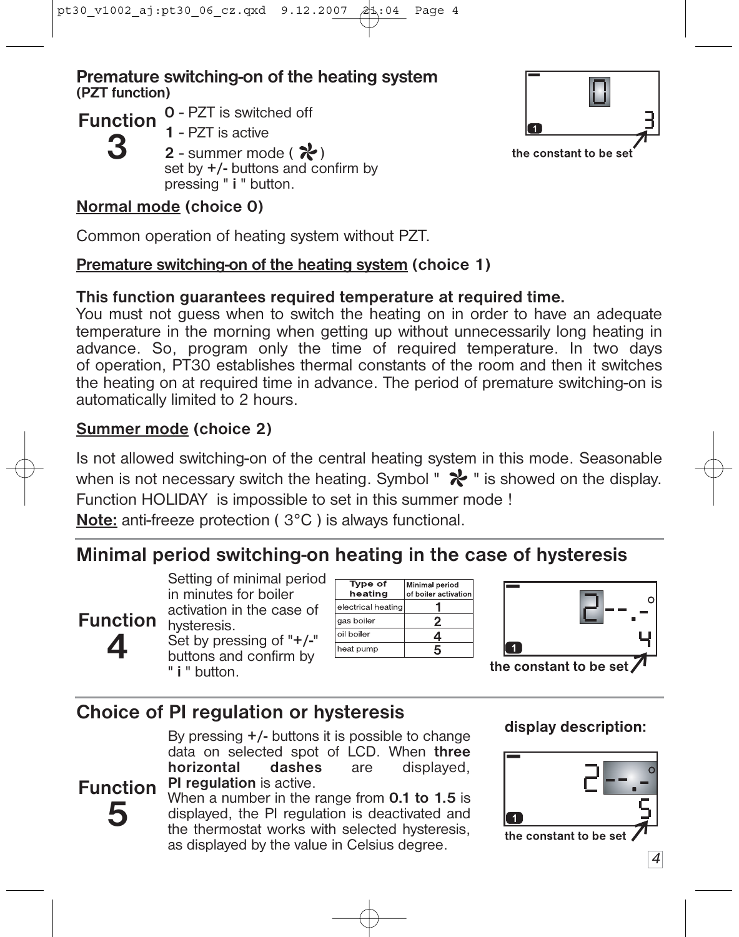#### **Premature switching-on of the heating system (PZT function)**

**Function** 0 - PZT is switched off

- **1** PZT is active
	- 2 summer mode ( $\mathcal{X}$ ) set by **+/-** buttons and confirm by pressing " **i** " button.

#### **Normal mode (choice 0)**

**3**

Common operation of heating system without PZT.

#### **Premature switching-on of the heating system (choice 1)**

#### **This function guarantees required temperature at required time.**

You must not guess when to switch the heating on in order to have an adequate temperature in the morning when getting up without unnecessarily long heating in advance. So, program only the time of required temperature. In two days of operation, PT30 establishes thermal constants of the room and then it switches the heating on at required time in advance. The period of premature switching-on is automatically limited to 2 hours.

### **Summer mode (choice 2)**

**Function 4**

**5**

Is not allowed switching-on of the central heating system in this mode. Seasonable when is not necessary switch the heating. Symbol "  $\mathcal{X}$  " is showed on the display. Function HOLIDAY is impossible to set in this summer mode !

**Note:** anti-freeze protection ( 3°C ) is always functional.

## **Minimal period switching-on heating in the case of hysteresis**

Setting of minimal period in minutes for boiler activation in the case of hysteresis.

Set by pressing of "**+/-**" buttons and confirm by " **i** " button.

| <b>Type of</b><br>heating | <b>Minimal period</b><br>of boiler activation |
|---------------------------|-----------------------------------------------|
| electrical heating        |                                               |
| gas boiler                |                                               |
| oil boiler                | 4                                             |
| heat pump                 | 5                                             |

the constant to be set

## **Choice of PI regulation or hysteresis**

By pressing **+/-** buttons it is possible to change data on selected spot of LCD. When **three horizontal PI regulation** is active.

**Function** When a number in the range from **0.1 to 1.5** is displayed, the PI regulation is deactivated and the thermostat works with selected hysteresis, as displayed by the value in Celsius degree.

display description:



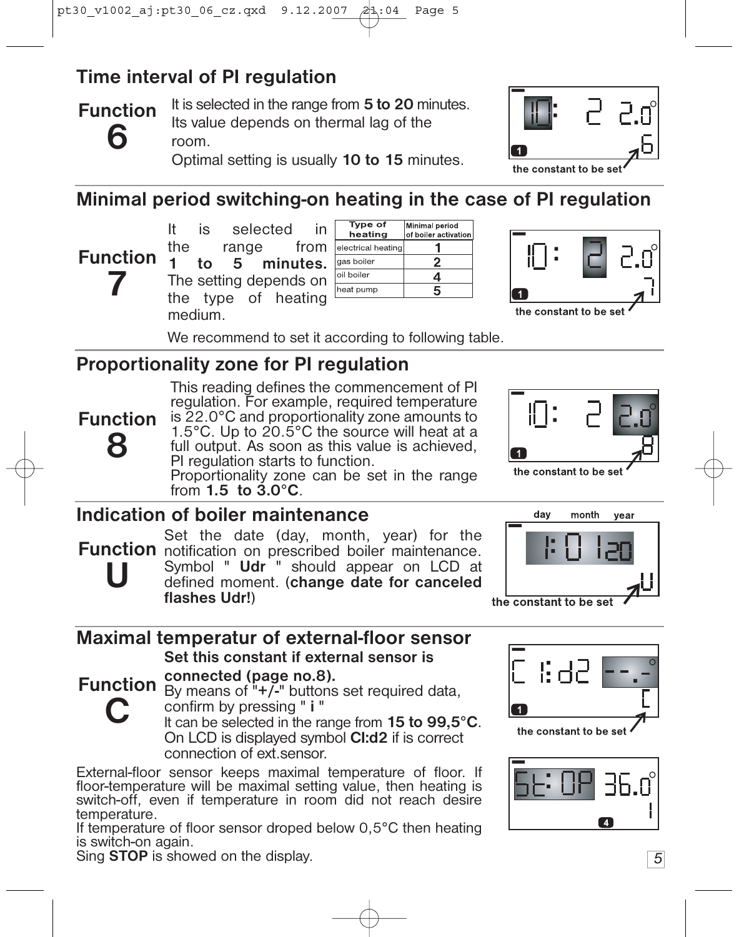## **Time interval of PI regulation**

**Function 6**

It is selected in the range from **5 to 20** minutes. Its value depends on thermal lag of the room.

Optimal setting is usually **10 to 15** minutes.



## **Minimal period switching-on heating in the case of PI regulation**

**Function**<sup>7</sup> **7** It is selected in<br>the range from the range  $\overline{1}$  to  $\overline{5}$  l **1 to 5 minutes.** The setting depends on the type of heating medium.





We recommend to set it according to following table.

## **Proportionality zone for PI regulation**

This reading defines the commencement of PI regulation. For example, required temperature is 22.0°C and proportionality zone amounts to 1.5°C. Up to 20.5°C the source will heat at a full output. As soon as this value is achieved,

PI regulation starts to function. Proportionality zone can be set in the range from **1.5 to 3.0°C**.



## **Indication of boiler maintenance**

**U**

**C**

**Function 8**

Set the date (day, month, year) for the **Function** notification on prescribed boiler maintenance. Symbol " **Udr** " should appear on LCD at defined moment. (**change date for canceled flashes Udr!**)



**Maximal temperatur of external-floor sensor Set this constant if external sensor is** 

#### **connected (page no.8).**

**Function** connected (page no.o).<br>**Function** By means of "+/-" buttons set required data, confirm by pressing " **i** "

It can be selected in the range from **15 to 99,5°C**. On LCD is displayed symbol **CI:d2** if is correct connection of ext.sensor.

External-floor sensor keeps maximal temperature of floor. If floor-temperature will be maximal setting value, then heating is switch-off, even if temperature in room did not reach desire temperature.

If temperature of floor sensor droped below 0,5°C then heating is switch-on again.

Sing **STOP** is showed on the display. *5*



the constant to be set

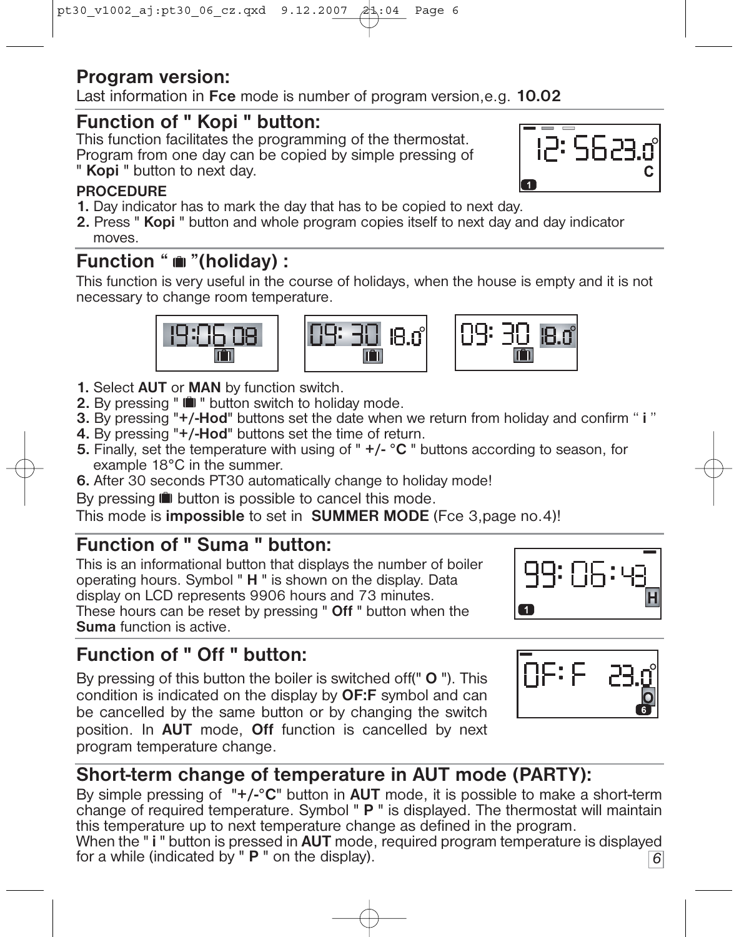## **Program version:**

Last information in **Fce** mode is number of program version,e.g. **10.02**

## **Function of " Kopi " button:**

This function facilitates the programming of the thermostat.

Program from one day can be copied by simple pressing of

#### " **Kopi** " button to next day.

#### **PROCEDURE**

- **1.** Day indicator has to mark the day that has to be copied to next day.
- **2.** Press " **Kopi** " button and whole program copies itself to next day and day indicator moves.

## **Function "**  $\bullet$  "(holiday) :

This function is very useful in the course of holidays, when the house is empty and it is not necessary to change room temperature.



- **1.** Select **AUT** or **MAN** by function switch.
- **2.** By pressing "  $\blacksquare$  " button switch to holiday mode.
- **3.** By pressing "**+/-Hod**" buttons set the date when we return from holiday and confirm " **i** "
- **4.** By pressing "**+/-Hod**" buttons set the time of return.
- **5.** Finally, set the temperature with using of " **+/- °C** " buttons according to season, for example 18°C in the summer.
- **6.** After 30 seconds PT30 automatically change to holiday mode!

By pressing  $\blacksquare$  button is possible to cancel this mode.

This mode is **impossible** to set in **SUMMER MODE** (Fce 3,page no.4)!

## **Function of " Suma " button:**

This is an informational button that displays the number of boiler operating hours. Symbol " **H** " is shown on the display. Data display on LCD represents 9906 hours and 73 minutes. These hours can be reset by pressing " **Off** " button when the **Suma** function is active.

## **Function of " Off " button:**

By pressing of this button the boiler is switched off(" **O** "). This condition is indicated on the display by **OF:F** symbol and can be cancelled by the same button or by changing the switch position. In **AUT** mode, **Off** function is cancelled by next program temperature change.

## ΠΕ: Ε

## **Short-term change of temperature in AUT mode (PARTY):**

By simple pressing of "**+/-°C**" button in **AUT** mode, it is possible to make a short-term change of required temperature. Symbol " **P** " is displayed. The thermostat will maintain this temperature up to next temperature change as defined in the program.

*6* When the " **i** " button is pressed in **AUT** mode, required program temperature is displayed for a while (indicated by " **P** " on the display).



BU.

m

 $\vert$  1

18.0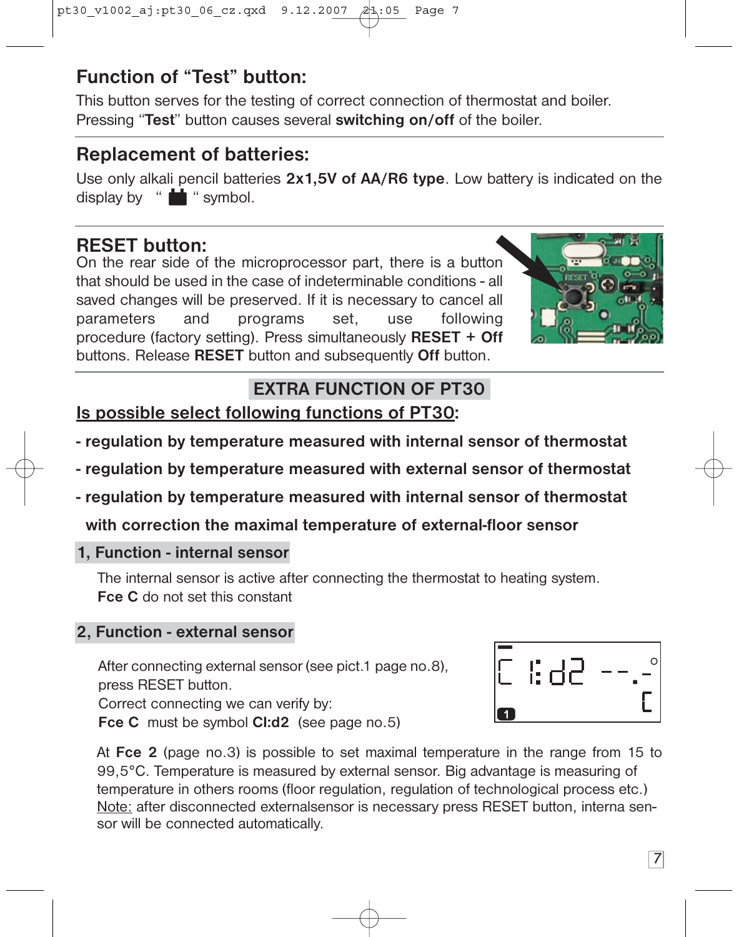## **Function of "Test" button:**

This button serves for the testing of correct connection of thermostat and boiler. Pressing "**Test**" button causes several **switching on/off** of the boiler.

#### **Replacement of batteries:**

Use only alkali pencil batteries **2x1,5V of AA/R6 type**. Low battery is indicated on the display by " $\blacksquare$  " symbol.

### **RESET button:**

On the rear side of the microprocessor part, there is a button that should be used in the case of indeterminable conditions - all saved changes will be preserved. If it is necessary to cancel all parameters and programs set, use following procedure (factory setting). Press simultaneously **RESET + Off** buttons. Release **RESET** button and subsequently **Off** button.



## **EXTRA FUNCTION OF PT30**

**Is possible select following functions of PT30:**

- **regulation by temperature measured with internal sensor of thermostat**
- **regulation by temperature measured with external sensor of thermostat**
- **regulation by temperature measured with internal sensor of thermostat**

**with correction the maximal temperature of external-floor sensor**

#### **1, Function - internal sensor**

The internal sensor is active after connecting the thermostat to heating system. **Fce C** do not set this constant

#### **2, Function - external sensor**

After connecting external sensor (see pict.1 page no.8), press RESET button.

Correct connecting we can verify by: **Fce C** must be symbol **CI:d2** (see page no.5)

At **Fce 2** (page no.3) is possible to set maximal temperature in the range from 15 to 99,5°C. Temperature is measured by external sensor. Big advantage is measuring of temperature in others rooms (floor regulation, regulation of technological process etc.) Note: after disconnected externalsensor is necessary press RESET button, interna sensor will be connected automatically.

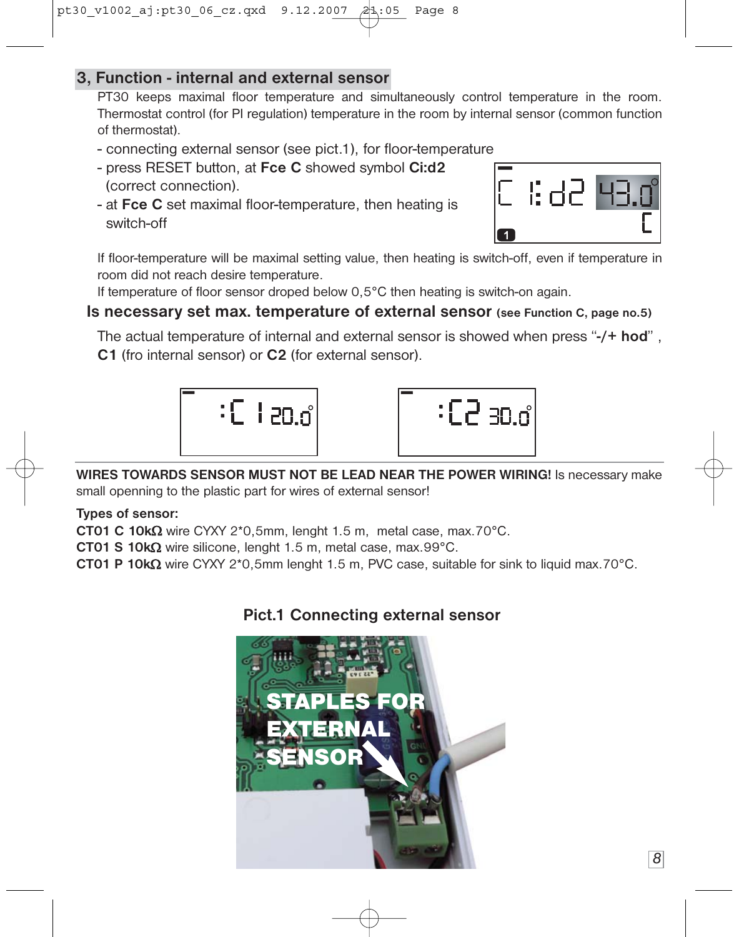#### **3, Function - internal and external sensor**

PT30 keeps maximal floor temperature and simultaneously control temperature in the room. Thermostat control (for PI regulation) temperature in the room by internal sensor (common function of thermostat).

- connecting external sensor (see pict.1), for floor-temperature
- press RESET button, at **Fce C** showed symbol **Ci:d2** (correct connection).
- at **Fce C** set maximal floor-temperature, then heating is switch-off



If floor-temperature will be maximal setting value, then heating is switch-off, even if temperature in room did not reach desire temperature.

If temperature of floor sensor droped below 0,5°C then heating is switch-on again.

#### **Is necessary set max. temperature of external sensor (see Function C, page no.5)**

The actual temperature of internal and external sensor is showed when press "**-/+ hod**" , **C1** (fro internal sensor) or **C2** (for external sensor).



**WIRES TOWARDS SENSOR MUST NOT BE LEAD NEAR THE POWER WIRING!** Is necessary make

small openning to the plastic part for wires of external sensor!

**Types of sensor:**

**CT01 C 10k**Ω wire CYXY 2\*0,5mm, lenght 1.5 m, metal case, max.70°C.

**CT01 S 10k**Ω wire silicone, lenght 1.5 m, metal case, max.99°C.

**CT01 P 10k**Ω wire CYXY 2\*0,5mm lenght 1.5 m, PVC case, suitable for sink to liquid max.70°C.

#### **Pict.1 Connecting external sensor**

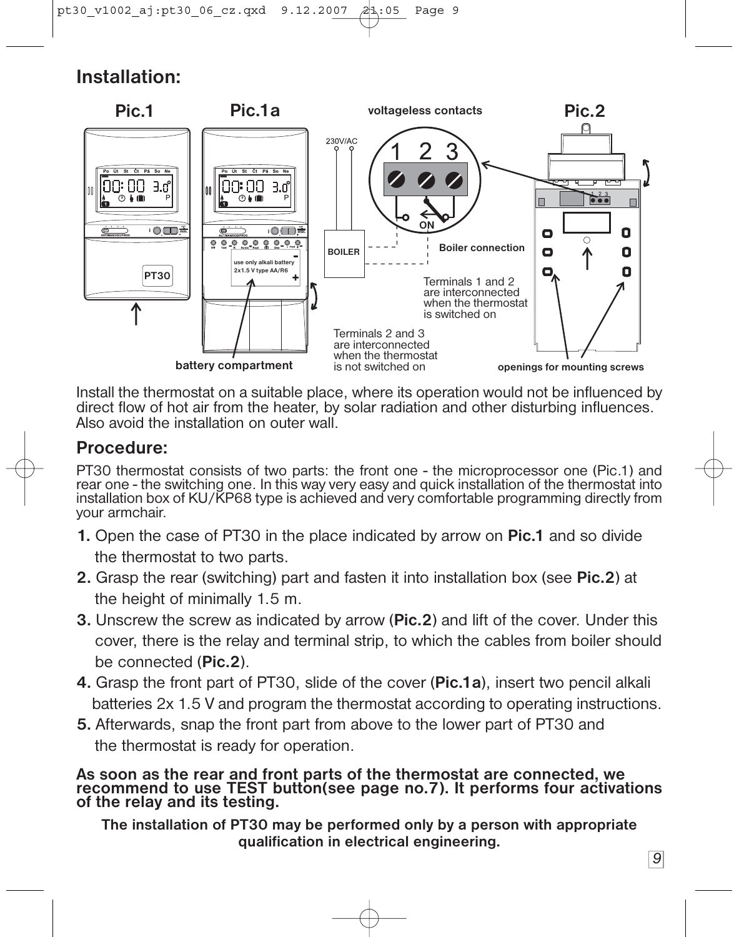### **Installation:**



Install the thermostat on a suitable place, where its operation would not be influenced by direct flow of hot air from the heater, by solar radiation and other disturbing influences. Also avoid the installation on outer wall.

#### **Procedure:**

PT30 thermostat consists of two parts: the front one - the microprocessor one (Pic.1) and rear one - the switching one. In this way very easy and quick installation of the thermostat into installation box of KU/KP68 type is achieved and very comfortable programming directly from your armchair.

- **1.** Open the case of PT30 in the place indicated by arrow on **Pic.1** and so divide the thermostat to two parts.
- **2.** Grasp the rear (switching) part and fasten it into installation box (see **Pic.2**) at the height of minimally 1.5 m.
- **3.** Unscrew the screw as indicated by arrow (**Pic.2**) and lift of the cover. Under this cover, there is the relay and terminal strip, to which the cables from boiler should be connected (**Pic.2**).
- **4.** Grasp the front part of PT30, slide of the cover (**Pic.1a**), insert two pencil alkali batteries 2x 1.5 V and program the thermostat according to operating instructions.
- **5.** Afterwards, snap the front part from above to the lower part of PT30 and the thermostat is ready for operation.

**As soon as the rear and front parts of the thermostat are connected, we recommend to use TEST button(see page no.7). It performs four activations of the relay and its testing.**

**The installation of PT30 may be performed only by a person with appropriate qualification in electrical engineering.**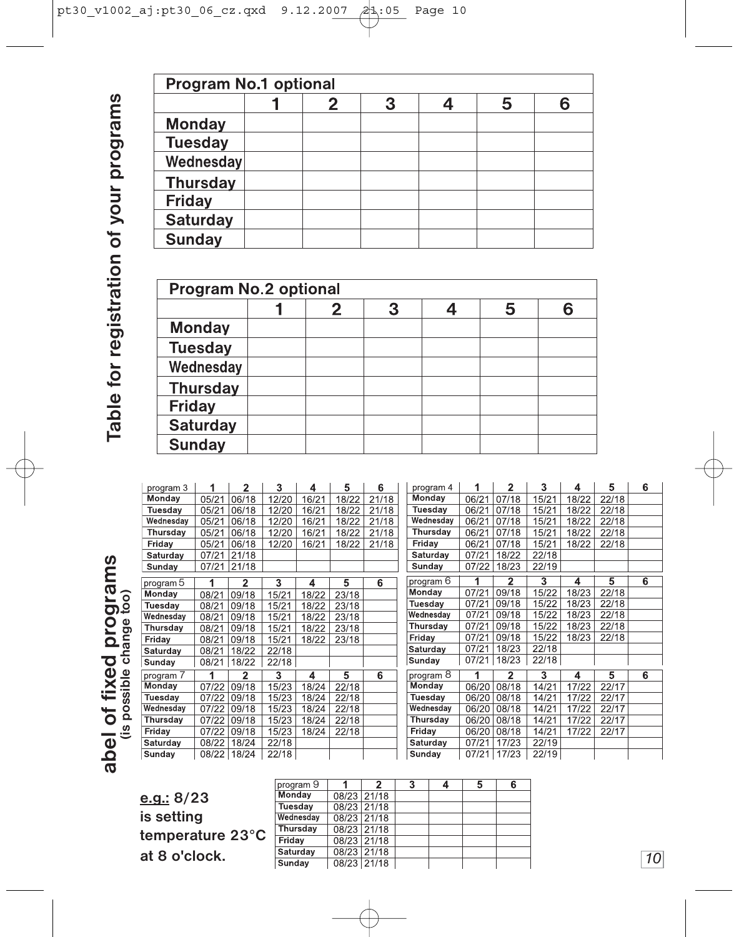|                 |  | 3 | 5 |  |
|-----------------|--|---|---|--|
| <b>Monday</b>   |  |   |   |  |
| <b>Tuesday</b>  |  |   |   |  |
| Wednesday       |  |   |   |  |
| <b>Thursday</b> |  |   |   |  |
| Friday          |  |   |   |  |
| <b>Saturday</b> |  |   |   |  |
| <b>Sunday</b>   |  |   |   |  |

|                 |  |  | 5 |  |
|-----------------|--|--|---|--|
| <b>Monday</b>   |  |  |   |  |
| <b>Tuesday</b>  |  |  |   |  |
| Wednesday       |  |  |   |  |
| <b>Thursday</b> |  |  |   |  |
| Friday          |  |  |   |  |
| <b>Saturday</b> |  |  |   |  |
| Sunday          |  |  |   |  |

| program 3        |             | 2                       | 3      | 4         | 5              | 6              |                | program 4 |             | 2              | 3     | 4     | 5     | 6              |
|------------------|-------------|-------------------------|--------|-----------|----------------|----------------|----------------|-----------|-------------|----------------|-------|-------|-------|----------------|
| Monday           | 05/21       | 06/18                   | 12/20  | 16/21     | 18/22          | 21/18          | Monday         |           | 06/21       | 07/18          | 15/21 | 18/22 | 22/18 |                |
| Tuesdav          | 05/21       | 06/18                   | 12/20  | 16/21     | 18/22          | 21/18          | Tuesdav        |           | 06/21       | 07/18          | 15/21 | 18/22 | 22/18 |                |
| Wednesday        | 05/21       | 06/18                   | 12/20  | 16/21     | 18/22          | 21/18          |                | Wednesday | 06/21       | 07/18          | 15/21 | 18/22 | 22/18 |                |
| Thursday         | 05/21       | 06/18                   | 12/20  | 16/21     | 18/22          | 21/18          | Thursday       |           | 06/21       | 07/18          | 15/21 | 18/22 | 22/18 |                |
| Friday           | 05/21       | 06/18                   | 12/20  | 16/21     | 18/22          | 21/18          | Friday         |           | 06/21       | 07/18          | 15/21 | 18/22 | 22/18 |                |
| Saturday         | 07/21       | 21/18                   |        |           |                |                | Saturday       |           | 07/21       | 18/22          | 22/18 |       |       |                |
| Sunday           | 07/21       | 21/18                   |        |           |                |                | Sunday         |           | 07/22       | 18/23          | 22/19 |       |       |                |
| program 5        | 1           | $\overline{2}$          | 3      | 4         | 5              | 6              | program 6      |           |             | $\overline{2}$ | 3     | 4     | 5     | $\overline{6}$ |
| Monday           | 08/21       | 09/18                   | 15/21  | 18/22     | 23/18          |                | Monday         |           | 07/21       | 09/18          | 15/22 | 18/23 | 22/18 |                |
| Tuesday          | 08/21       | 09/18                   | 15/21  | 18/22     | 23/18          |                | Tuesday        |           | 07/21       | 09/18          | 15/22 | 18/23 | 22/18 |                |
| Wednesday        | 08/21       | 09/18                   | 15/21  | 18/22     | 23/18          |                | Wednesday      |           | 07/21       | 09/18          | 15/22 | 18/23 | 22/18 |                |
| Thursday         | 08/21       | 09/18                   | 15/21  | 18/22     | 23/18          |                | Thursday       |           | 07/21       | 09/18          | 15/22 | 18/23 | 22/18 |                |
| Friday           | 08/21       | 09/18                   | 15/21  | 18/22     | 23/18          |                | Friday         |           | 07/21       | 09/18          | 15/22 | 18/23 | 22/18 |                |
| Saturday         | 08/21       | 18/22                   | 22/18  |           |                |                | Saturday       |           | 07/21       | 18/23          | 22/18 |       |       |                |
| Sunday           | 08/21 18/22 |                         | 22/18  |           |                |                | Sunday         |           | 07/21       | 18/23          | 22/18 |       |       |                |
|                  |             |                         |        |           |                |                |                | program 8 |             | 2              | 3     | 4     | 5     | 6              |
| program 7        | 1           | $\overline{\mathbf{2}}$ | 3      | 4         | 5              | 6              |                |           |             |                |       |       |       |                |
| Monday           | 07/22       | 09/18                   | 15/23  | 18/24     | 22/18          |                | Monday         |           | 06/20       | 08/18          | 14/21 | 17/22 | 22/17 |                |
| Tuesday          | 07/22       | 09/18                   | 15/23  | 18/24     | 22/18          |                | Tuesday        |           | 06/20       | 08/18          | 14/21 | 17/22 | 22/17 |                |
| Wednesday        | 07/22       | 09/18                   | 15/23  | 18/24     | 22/18          |                | Wednesday      |           | 06/20       | 08/18          | 14/21 | 17/22 | 22/17 |                |
| Thursday         | 07/22       | 09/18                   | 15/23  | 18/24     | 22/18          |                | Thursday       |           | 06/20       | 08/18          | 14/21 | 17/22 | 22/17 |                |
| Friday           | 07/22       | 09/18                   | 15/23  | 18/24     | 22/18          |                | Friday         |           | 06/20       | 08/18          | 14/21 | 17/22 | 22/17 |                |
| Saturday         | 08/22       | 18/24                   | 22/18  |           |                |                | Saturday       |           | 07/21       | 17/23          | 22/19 |       |       |                |
| Sunday           | 08/22       | 18/24                   | 22/18  |           |                |                | Sunday         |           | 07/21 17/23 |                | 22/19 |       |       |                |
|                  |             |                         |        |           |                |                |                |           |             |                |       |       |       |                |
|                  |             |                         |        |           |                |                |                |           |             |                |       |       |       |                |
|                  |             |                         |        | program 9 | 1              | $\overline{2}$ | $\overline{3}$ | 4         | 5           | 6              |       |       |       |                |
| e.g.: 8/23       |             |                         | Monday |           | 08/23          | 21/18          |                |           |             |                |       |       |       |                |
|                  |             |                         |        | Tuesday   | 08/23          | 21/18          |                |           |             |                |       |       |       |                |
| is setting       |             |                         |        | Wednesday | 08/23          | 21/18          |                |           |             |                |       |       |       |                |
| temperature 23°C |             |                         |        | Thursday  | 08/23          | 21/18          |                |           |             |                |       |       |       |                |
| at 8 o'clock.    |             |                         | Friday | Saturday  | 08/23<br>08/23 | 21/18<br>21/18 |                |           |             |                |       |       |       | $\overline{1}$ |

| program 9 |             | 3 | 5 | 6 |
|-----------|-------------|---|---|---|
| Monday    | 08/23 21/18 |   |   |   |
| Tuesday   | 08/23 21/18 |   |   |   |
| Wednesdav | 08/23 21/18 |   |   |   |
| Thursday  | 08/23 21/18 |   |   |   |
| Friday    | 08/23 21/18 |   |   |   |
| Saturday  | 08/23 21/18 |   |   |   |
| Sundav    | 08/23 21/18 |   |   |   |

╈

Table for registration of your programs **Table for registration of your programs**

**abel of fixed programs (is possible change too)**

abel of fixed programs<br>(is possible change too)

*10*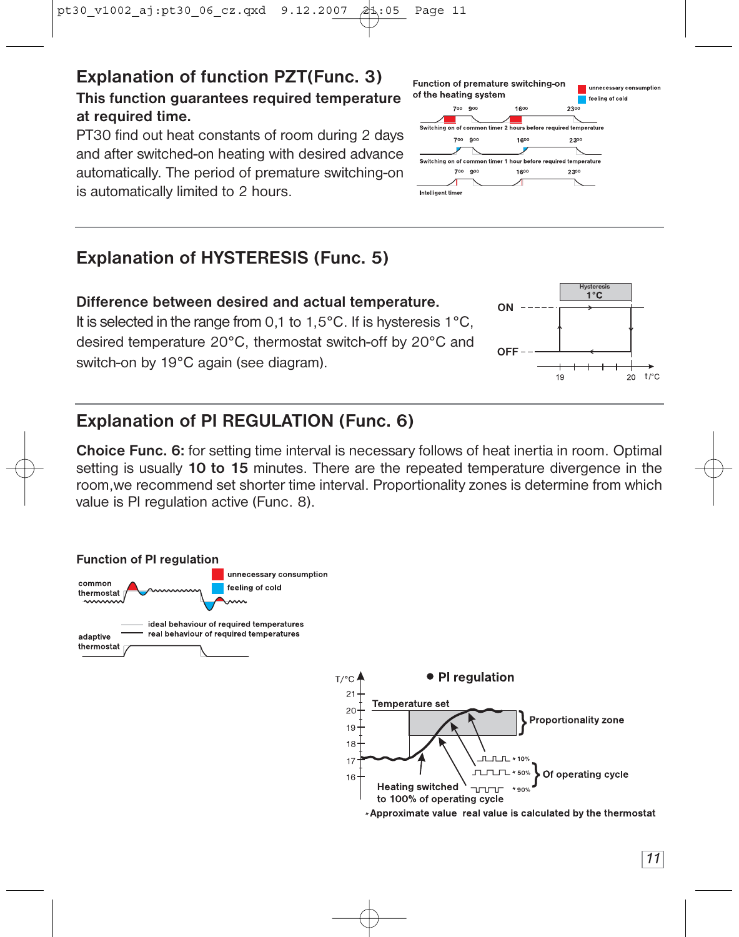## **Explanation of function PZT(Func. 3)**

#### **This function guarantees required temperature at required time.**

PT30 find out heat constants of room during 2 days and after switched-on heating with desired advance automatically. The period of premature switching-on is automatically limited to 2 hours.



#### **Explanation of HYSTERESIS (Func. 5)**

switch-on by 19°C again (see diagram).

#### **Difference between desired and actual temperature.** It is selected in the range from 0,1 to 1,5°C. If is hysteresis 1°C, desired temperature 20°C, thermostat switch-off by 20°C and



#### **Explanation of PI REGULATION (Func. 6)**

**Choice Func. 6:** for setting time interval is necessary follows of heat inertia in room. Optimal setting is usually **10 to 15** minutes. There are the repeated temperature divergence in the room,we recommend set shorter time interval. Proportionality zones is determine from which value is PI regulation active (Func. 8).